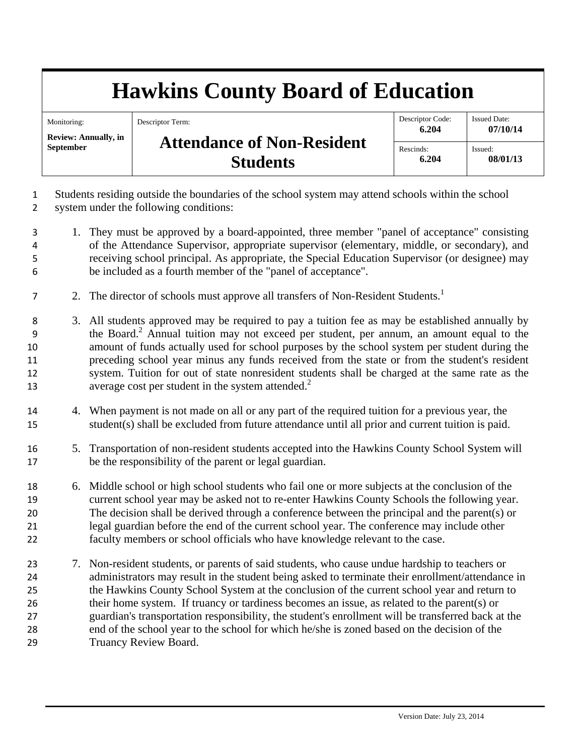## **Hawkins County Board of Education**

| Monitoring:                 | Descriptor Term:                  | Descriptor Code: | <b>Issued Date:</b> |
|-----------------------------|-----------------------------------|------------------|---------------------|
| <b>Review: Annually, in</b> |                                   | 6.204            | 07/10/14            |
| <b>September</b>            | <b>Attendance of Non-Resident</b> | Rescinds:        | Issued:             |
|                             | <b>Students</b>                   | 6.204            | 08/01/13            |

1 Students residing outside the boundaries of the school system may attend schools within the school 2 system under the following conditions:

- 3 1. They must be approved by a board-appointed, three member "panel of acceptance" consisting 4 of the Attendance Supervisor, appropriate supervisor (elementary, middle, or secondary), and 5 receiving school principal. As appropriate, the Special Education Supervisor (or designee) may 6 be included as a fourth member of the "panel of acceptance".
- 2. The director of schools must approve all transfers of Non-Resident Students.<sup>1</sup>
- 8 3. All students approved may be required to pay a tuition fee as may be established annually by the Board.<sup>2</sup> Annual tuition may not exceed per student, per annum, an amount equal to the 10 amount of funds actually used for school purposes by the school system per student during the 11 preceding school year minus any funds received from the state or from the student's resident 12 system. Tuition for out of state nonresident students shall be charged at the same rate as the 13 average cost per student in the system attended.<sup>2</sup>
- 14 4. When payment is not made on all or any part of the required tuition for a previous year, the 15 student(s) shall be excluded from future attendance until all prior and current tuition is paid.
- 16 5. Transportation of non-resident students accepted into the Hawkins County School System will 17 be the responsibility of the parent or legal guardian.
- 18 6. Middle school or high school students who fail one or more subjects at the conclusion of the 19 current school year may be asked not to re-enter Hawkins County Schools the following year. 20 The decision shall be derived through a conference between the principal and the parent(s) or 21 legal guardian before the end of the current school year. The conference may include other 22 faculty members or school officials who have knowledge relevant to the case.
- 23 7. Non-resident students, or parents of said students, who cause undue hardship to teachers or 24 administrators may result in the student being asked to terminate their enrollment/attendance in 25 the Hawkins County School System at the conclusion of the current school year and return to 26 their home system. If truancy or tardiness becomes an issue, as related to the parent(s) or 27 guardian's transportation responsibility, the student's enrollment will be transferred back at the 28 end of the school year to the school for which he/she is zoned based on the decision of the 29 Truancy Review Board.